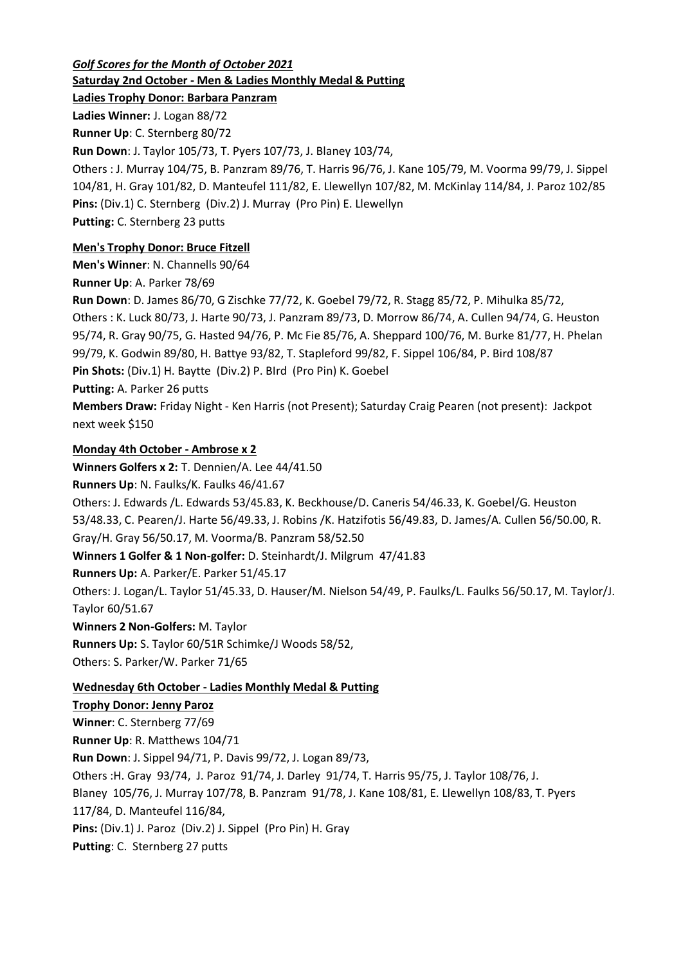*Golf Scores for the Month of October 2021* **Saturday 2nd October - Men & Ladies Monthly Medal & Putting**

**Ladies Trophy Donor: Barbara Panzram**

**Ladies Winner:** J. Logan 88/72

**Runner Up**: C. Sternberg 80/72

**Run Down**: J. Taylor 105/73, T. Pyers 107/73, J. Blaney 103/74,

Others : J. Murray 104/75, B. Panzram 89/76, T. Harris 96/76, J. Kane 105/79, M. Voorma 99/79, J. Sippel 104/81, H. Gray 101/82, D. Manteufel 111/82, E. Llewellyn 107/82, M. McKinlay 114/84, J. Paroz 102/85 **Pins:** (Div.1) C. Sternberg (Div.2) J. Murray (Pro Pin) E. Llewellyn **Putting:** C. Sternberg 23 putts

# **Men's Trophy Donor: Bruce Fitzell**

**Men's Winner**: N. Channells 90/64

**Runner Up**: A. Parker 78/69

**Run Down**: D. James 86/70, G Zischke 77/72, K. Goebel 79/72, R. Stagg 85/72, P. Mihulka 85/72, Others : K. Luck 80/73, J. Harte 90/73, J. Panzram 89/73, D. Morrow 86/74, A. Cullen 94/74, G. Heuston 95/74, R. Gray 90/75, G. Hasted 94/76, P. Mc Fie 85/76, A. Sheppard 100/76, M. Burke 81/77, H. Phelan 99/79, K. Godwin 89/80, H. Battye 93/82, T. Stapleford 99/82, F. Sippel 106/84, P. Bird 108/87 **Pin Shots:** (Div.1) H. Baytte (Div.2) P. BIrd (Pro Pin) K. Goebel **Putting:** A. Parker 26 putts

**Members Draw:** Friday Night - Ken Harris (not Present); Saturday Craig Pearen (not present): Jackpot next week \$150

## **Monday 4th October - Ambrose x 2**

**Winners Golfers x 2:** T. Dennien/A. Lee 44/41.50

**Runners Up**: N. Faulks/K. Faulks 46/41.67

Others: J. Edwards /L. Edwards 53/45.83, K. Beckhouse/D. Caneris 54/46.33, K. Goebel/G. Heuston 53/48.33, C. Pearen/J. Harte 56/49.33, J. Robins /K. Hatzifotis 56/49.83, D. James/A. Cullen 56/50.00, R. Gray/H. Gray 56/50.17, M. Voorma/B. Panzram 58/52.50

**Winners 1 Golfer & 1 Non-golfer:** D. Steinhardt/J. Milgrum 47/41.83

**Runners Up:** A. Parker/E. Parker 51/45.17

Others: J. Logan/L. Taylor 51/45.33, D. Hauser/M. Nielson 54/49, P. Faulks/L. Faulks 56/50.17, M. Taylor/J. Taylor 60/51.67

**Winners 2 Non-Golfers:** M. Taylor

**Runners Up:** S. Taylor 60/51R Schimke/J Woods 58/52,

Others: S. Parker/W. Parker 71/65

# **Wednesday 6th October - Ladies Monthly Medal & Putting**

## **Trophy Donor: Jenny Paroz**

**Winner**: C. Sternberg 77/69 **Runner Up**: R. Matthews 104/71 **Run Down**: J. Sippel 94/71, P. Davis 99/72, J. Logan 89/73, Others :H. Gray 93/74, J. Paroz 91/74, J. Darley 91/74, T. Harris 95/75, J. Taylor 108/76, J. Blaney 105/76, J. Murray 107/78, B. Panzram 91/78, J. Kane 108/81, E. Llewellyn 108/83, T. Pyers 117/84, D. Manteufel 116/84, **Pins:** (Div.1) J. Paroz (Div.2) J. Sippel (Pro Pin) H. Gray **Putting**: C. Sternberg 27 putts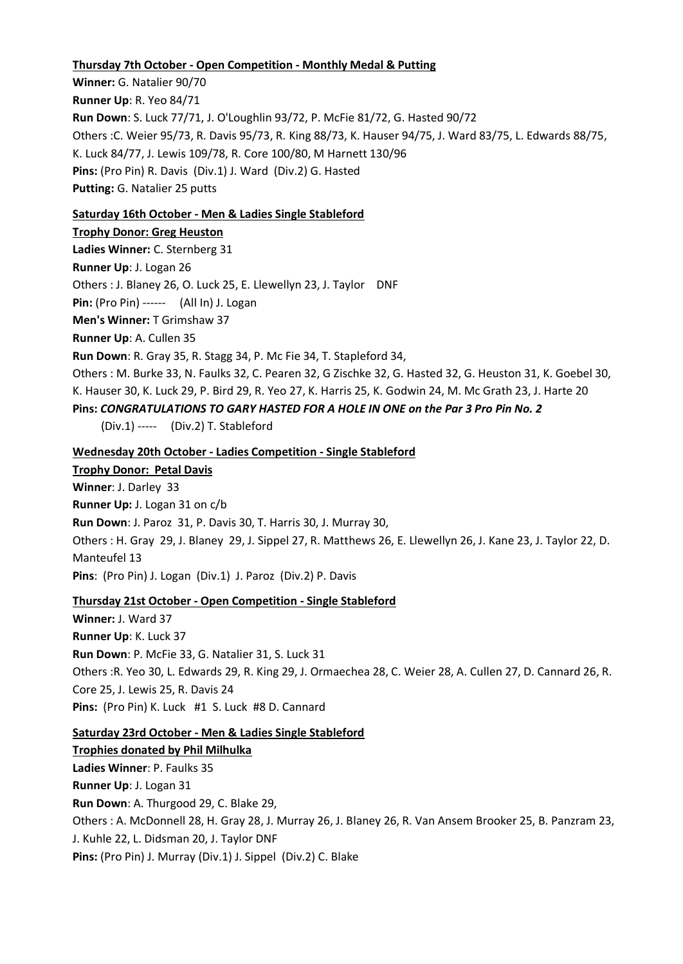#### **Thursday 7th October - Open Competition - Monthly Medal & Putting**

**Winner:** G. Natalier 90/70 **Runner Up**: R. Yeo 84/71 **Run Down**: S. Luck 77/71, J. O'Loughlin 93/72, P. McFie 81/72, G. Hasted 90/72 Others :C. Weier 95/73, R. Davis 95/73, R. King 88/73, K. Hauser 94/75, J. Ward 83/75, L. Edwards 88/75, K. Luck 84/77, J. Lewis 109/78, R. Core 100/80, M Harnett 130/96 **Pins:** (Pro Pin) R. Davis (Div.1) J. Ward (Div.2) G. Hasted **Putting:** G. Natalier 25 putts

## **Saturday 16th October - Men & Ladies Single Stableford**

#### **Trophy Donor: Greg Heuston**

**Ladies Winner:** C. Sternberg 31

**Runner Up**: J. Logan 26

Others : J. Blaney 26, O. Luck 25, E. Llewellyn 23, J. Taylor DNF

**Pin:** (Pro Pin) ------ (All In) J. Logan

**Men's Winner:** T Grimshaw 37

**Runner Up**: A. Cullen 35

**Run Down**: R. Gray 35, R. Stagg 34, P. Mc Fie 34, T. Stapleford 34,

Others : M. Burke 33, N. Faulks 32, C. Pearen 32, G Zischke 32, G. Hasted 32, G. Heuston 31, K. Goebel 30, K. Hauser 30, K. Luck 29, P. Bird 29, R. Yeo 27, K. Harris 25, K. Godwin 24, M. Mc Grath 23, J. Harte 20

**Pins:** *CONGRATULATIONS TO GARY HASTED FOR A HOLE IN ONE on the Par 3 Pro Pin No. 2*

(Div.1) ----- (Div.2) T. Stableford

#### **Wednesday 20th October - Ladies Competition - Single Stableford**

#### **Trophy Donor: Petal Davis**

**Winner**: J. Darley 33

**Runner Up:** J. Logan 31 on c/b

**Run Down**: J. Paroz 31, P. Davis 30, T. Harris 30, J. Murray 30,

Others : H. Gray 29, J. Blaney 29, J. Sippel 27, R. Matthews 26, E. Llewellyn 26, J. Kane 23, J. Taylor 22, D. Manteufel 13

**Pins**: (Pro Pin) J. Logan (Div.1) J. Paroz (Div.2) P. Davis

#### **Thursday 21st October - Open Competition - Single Stableford**

**Winner:** J. Ward 37 **Runner Up**: K. Luck 37 **Run Down**: P. McFie 33, G. Natalier 31, S. Luck 31 Others :R. Yeo 30, L. Edwards 29, R. King 29, J. Ormaechea 28, C. Weier 28, A. Cullen 27, D. Cannard 26, R. Core 25, J. Lewis 25, R. Davis 24 Pins: (Pro Pin) K. Luck #1 S. Luck #8 D. Cannard

#### **Saturday 23rd October - Men & Ladies Single Stableford**

**Trophies donated by Phil Milhulka Ladies Winner**: P. Faulks 35 **Runner Up**: J. Logan 31 **Run Down**: A. Thurgood 29, C. Blake 29, Others : A. McDonnell 28, H. Gray 28, J. Murray 26, J. Blaney 26, R. Van Ansem Brooker 25, B. Panzram 23, J. Kuhle 22, L. Didsman 20, J. Taylor DNF **Pins:** (Pro Pin) J. Murray (Div.1) J. Sippel (Div.2) C. Blake